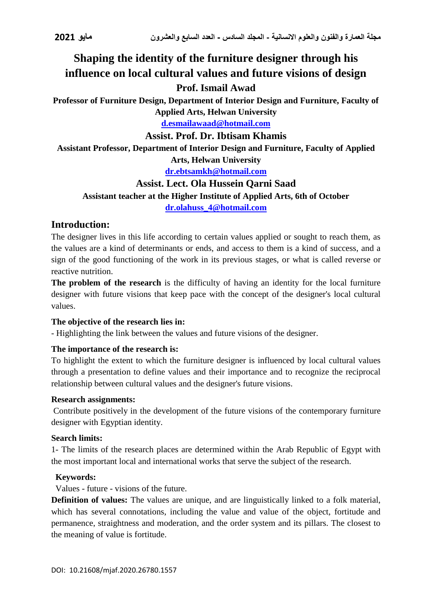# **Shaping the identity of the furniture designer through his influence on local cultural values and future visions of design**

# **Prof. Ismail Awad**

**Professor of Furniture Design, Department of Interior Design and Furniture, Faculty of Applied Arts, Helwan University**

**[d.esmailawaad@hotmail.com](mailto:d.esmailawaad@hotmail.com)**

### **Assist. Prof. Dr. Ibtisam Khamis**

**Assistant Professor, Department of Interior Design and Furniture, Faculty of Applied Arts, Helwan University**

**[dr.ebtsamkh@hotmail.com](mailto:dr.ebtsamkh@hotmail.com)**

### **Assist. Lect. Ola Hussein Qarni Saad**

### **Assistant teacher at the Higher Institute of Applied Arts, 6th of October**

**[dr.olahuss\\_4@hotmail.com](mailto:dr.olahuss_4@hotmail.com)**

### **Introduction:**

The designer lives in this life according to certain values applied or sought to reach them, as the values are a kind of determinants or ends, and access to them is a kind of success, and a sign of the good functioning of the work in its previous stages, or what is called reverse or reactive nutrition.

**The problem of the research** is the difficulty of having an identity for the local furniture designer with future visions that keep pace with the concept of the designer's local cultural values.

### **The objective of the research lies in:**

- Highlighting the link between the values and future visions of the designer.

### **The importance of the research is:**

To highlight the extent to which the furniture designer is influenced by local cultural values through a presentation to define values and their importance and to recognize the reciprocal relationship between cultural values and the designer's future visions.

### **Research assignments:**

Contribute positively in the development of the future visions of the contemporary furniture designer with Egyptian identity.

### **Search limits:**

1- The limits of the research places are determined within the Arab Republic of Egypt with the most important local and international works that serve the subject of the research.

### **Keywords:**

Values - future - visions of the future.

**Definition of values:** The values are unique, and are linguistically linked to a folk material, which has several connotations, including the value and value of the object, fortitude and permanence, straightness and moderation, and the order system and its pillars. The closest to the meaning of value is fortitude.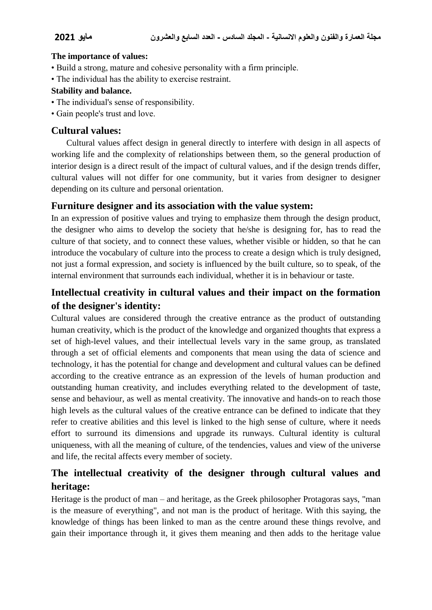### **The importance of values:**

- Build a strong, mature and cohesive personality with a firm principle.
- The individual has the ability to exercise restraint.

### **Stability and balance.**

- The individual's sense of responsibility.
- Gain people's trust and love.

### **Cultural values:**

 Cultural values affect design in general directly to interfere with design in all aspects of working life and the complexity of relationships between them, so the general production of interior design is a direct result of the impact of cultural values, and if the design trends differ, cultural values will not differ for one community, but it varies from designer to designer depending on its culture and personal orientation.

### **Furniture designer and its association with the value system:**

In an expression of positive values and trying to emphasize them through the design product, the designer who aims to develop the society that he/she is designing for, has to read the culture of that society, and to connect these values, whether visible or hidden, so that he can introduce the vocabulary of culture into the process to create a design which is truly designed, not just a formal expression, and society is influenced by the built culture, so to speak, of the internal environment that surrounds each individual, whether it is in behaviour or taste.

# **Intellectual creativity in cultural values and their impact on the formation of the designer's identity:**

Cultural values are considered through the creative entrance as the product of outstanding human creativity, which is the product of the knowledge and organized thoughts that express a set of high-level values, and their intellectual levels vary in the same group, as translated through a set of official elements and components that mean using the data of science and technology, it has the potential for change and development and cultural values can be defined according to the creative entrance as an expression of the levels of human production and outstanding human creativity, and includes everything related to the development of taste, sense and behaviour, as well as mental creativity. The innovative and hands-on to reach those high levels as the cultural values of the creative entrance can be defined to indicate that they refer to creative abilities and this level is linked to the high sense of culture, where it needs effort to surround its dimensions and upgrade its runways. Cultural identity is cultural uniqueness, with all the meaning of culture, of the tendencies, values and view of the universe and life, the recital affects every member of society.

# **The intellectual creativity of the designer through cultural values and heritage:**

Heritage is the product of man – and heritage, as the Greek philosopher Protagoras says, "man is the measure of everything", and not man is the product of heritage. With this saying, the knowledge of things has been linked to man as the centre around these things revolve, and gain their importance through it, it gives them meaning and then adds to the heritage value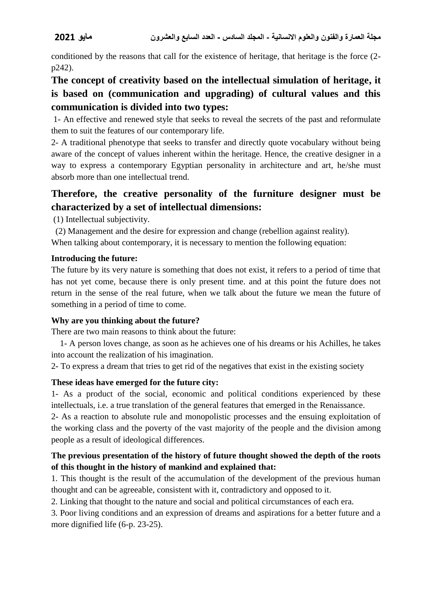conditioned by the reasons that call for the existence of heritage, that heritage is the force (2 p242).

# **The concept of creativity based on the intellectual simulation of heritage, it is based on (communication and upgrading) of cultural values and this communication is divided into two types:**

1- An effective and renewed style that seeks to reveal the secrets of the past and reformulate them to suit the features of our contemporary life.

2- A traditional phenotype that seeks to transfer and directly quote vocabulary without being aware of the concept of values inherent within the heritage. Hence, the creative designer in a way to express a contemporary Egyptian personality in architecture and art, he/she must absorb more than one intellectual trend.

# **Therefore, the creative personality of the furniture designer must be characterized by a set of intellectual dimensions:**

(1) Intellectual subjectivity.

 (2) Management and the desire for expression and change (rebellion against reality). When talking about contemporary, it is necessary to mention the following equation:

### **Introducing the future:**

The future by its very nature is something that does not exist, it refers to a period of time that has not yet come, because there is only present time. and at this point the future does not return in the sense of the real future, when we talk about the future we mean the future of something in a period of time to come.

### **Why are you thinking about the future?**

There are two main reasons to think about the future:

 1- A person loves change, as soon as he achieves one of his dreams or his Achilles, he takes into account the realization of his imagination.

2- To express a dream that tries to get rid of the negatives that exist in the existing society

### **These ideas have emerged for the future city:**

1- As a product of the social, economic and political conditions experienced by these intellectuals, i.e. a true translation of the general features that emerged in the Renaissance.

2- As a reaction to absolute rule and monopolistic processes and the ensuing exploitation of the working class and the poverty of the vast majority of the people and the division among people as a result of ideological differences.

### **The previous presentation of the history of future thought showed the depth of the roots of this thought in the history of mankind and explained that:**

1. This thought is the result of the accumulation of the development of the previous human thought and can be agreeable, consistent with it, contradictory and opposed to it.

2. Linking that thought to the nature and social and political circumstances of each era.

3. Poor living conditions and an expression of dreams and aspirations for a better future and a more dignified life (6-p. 23-25).